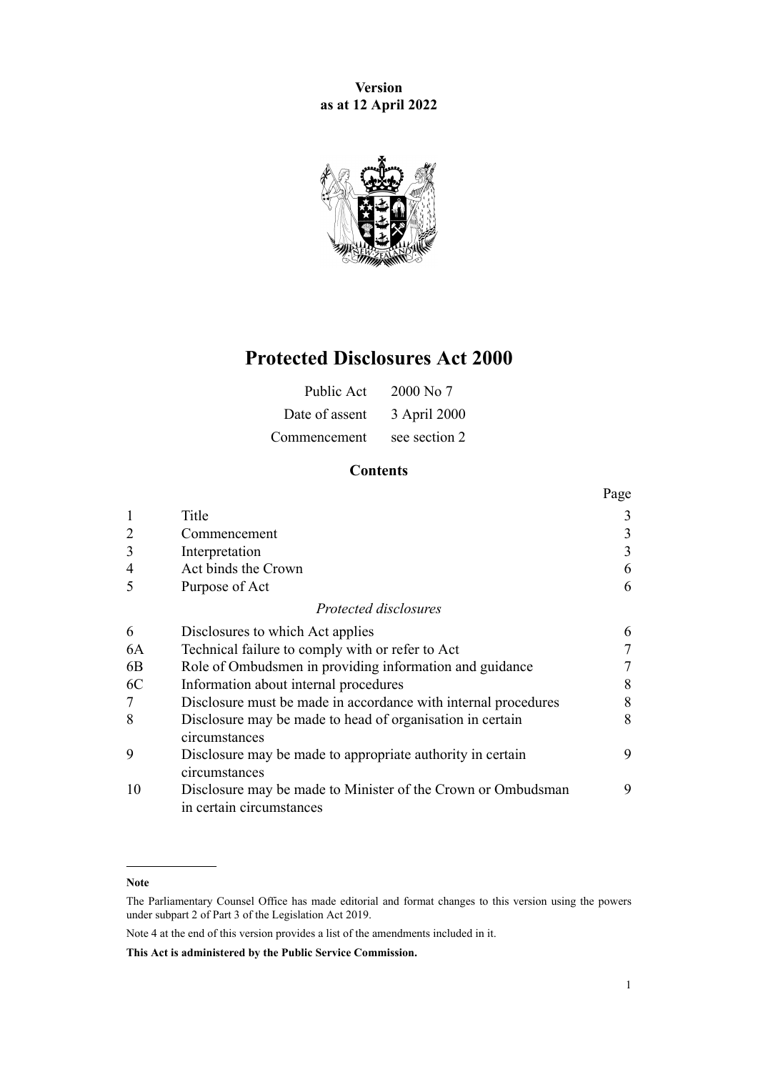**Version as at 12 April 2022**



# **Protected Disclosures Act 2000**

| Public Act     | 2000 No 7     |
|----------------|---------------|
| Date of assent | 3 April 2000  |
| Commencement   | see section 2 |

# **Contents**

|                |                                                                                          | Page |
|----------------|------------------------------------------------------------------------------------------|------|
| $\mathbf{1}$   | Title                                                                                    | 3    |
| $\overline{2}$ | Commencement                                                                             | 3    |
| 3              | Interpretation                                                                           | 3    |
| $\overline{4}$ | Act binds the Crown                                                                      | 6    |
| 5              | Purpose of Act                                                                           | 6    |
|                | Protected disclosures                                                                    |      |
| 6              | Disclosures to which Act applies                                                         | 6    |
| 6A             | Technical failure to comply with or refer to Act                                         | 7    |
| 6B             | Role of Ombudsmen in providing information and guidance                                  | 7    |
| 6C             | Information about internal procedures                                                    | 8    |
| 7              | Disclosure must be made in accordance with internal procedures                           | 8    |
| 8              | Disclosure may be made to head of organisation in certain<br>circumstances               | 8    |
| 9              | Disclosure may be made to appropriate authority in certain<br>circumstances              | 9    |
| 10             | Disclosure may be made to Minister of the Crown or Ombudsman<br>in certain circumstances | 9    |

**Note**

The Parliamentary Counsel Office has made editorial and format changes to this version using the powers under [subpart 2](http://legislation.govt.nz/pdflink.aspx?id=DLM7298371) of Part 3 of the Legislation Act 2019.

Note 4 at the end of this version provides a list of the amendments included in it.

**This Act is administered by the Public Service Commission.**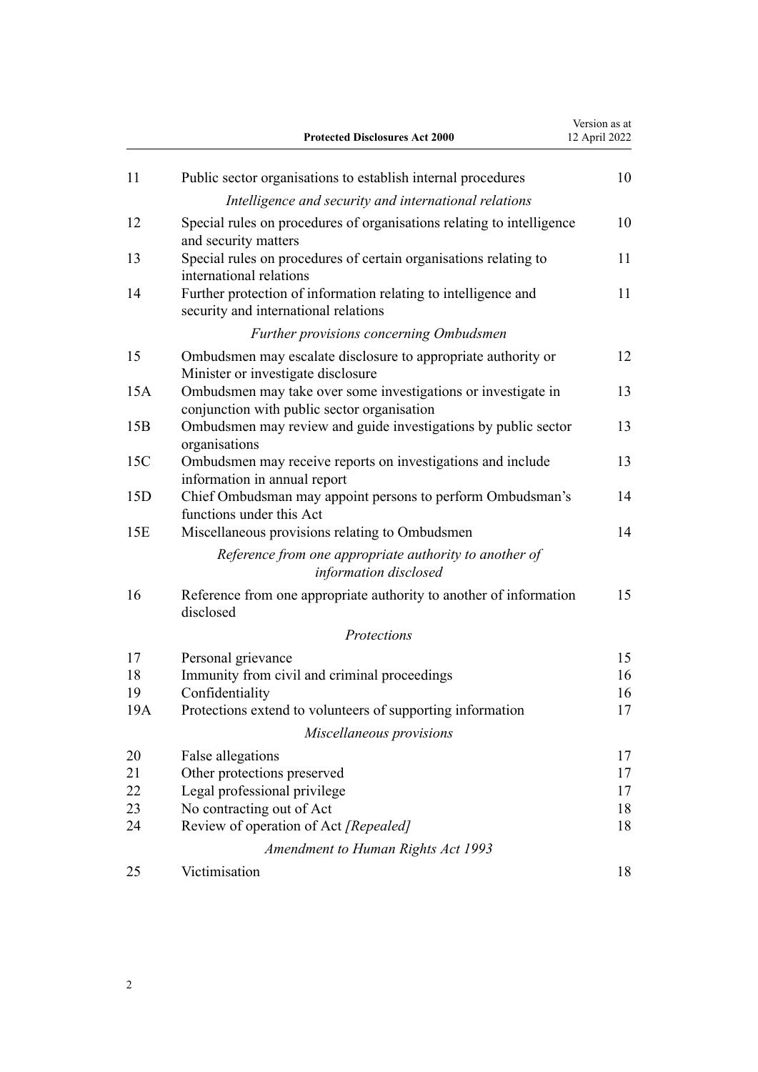|     | <b>Protected Disclosures Act 2000</b>                                                                        | Version as at<br>12 April 2022 |
|-----|--------------------------------------------------------------------------------------------------------------|--------------------------------|
| 11  | Public sector organisations to establish internal procedures                                                 | 10                             |
|     | Intelligence and security and international relations                                                        |                                |
| 12  | Special rules on procedures of organisations relating to intelligence<br>and security matters                | 10                             |
| 13  | Special rules on procedures of certain organisations relating to<br>international relations                  | 11                             |
| 14  | Further protection of information relating to intelligence and<br>security and international relations       | 11                             |
|     | Further provisions concerning Ombudsmen                                                                      |                                |
| 15  | Ombudsmen may escalate disclosure to appropriate authority or<br>Minister or investigate disclosure          | 12                             |
| 15A | Ombudsmen may take over some investigations or investigate in<br>conjunction with public sector organisation | 13                             |
| 15B | Ombudsmen may review and guide investigations by public sector<br>organisations                              | 13                             |
| 15C | Ombudsmen may receive reports on investigations and include<br>information in annual report                  | 13                             |
| 15D | Chief Ombudsman may appoint persons to perform Ombudsman's<br>functions under this Act                       | 14                             |
| 15E | Miscellaneous provisions relating to Ombudsmen                                                               | 14                             |
|     | Reference from one appropriate authority to another of<br>information disclosed                              |                                |
| 16  | Reference from one appropriate authority to another of information<br>disclosed                              | 15                             |
|     | Protections                                                                                                  |                                |
| 17  | Personal grievance                                                                                           | 15                             |
| 18  | Immunity from civil and criminal proceedings                                                                 | 16                             |
| 19  | Confidentiality                                                                                              | 16                             |
| 19A | Protections extend to volunteers of supporting information                                                   | 17                             |
|     | Miscellaneous provisions                                                                                     |                                |
| 20  | False allegations                                                                                            | 17                             |
| 21  | Other protections preserved                                                                                  | 17                             |
| 22  | Legal professional privilege                                                                                 | 17                             |
| 23  | No contracting out of Act                                                                                    | 18                             |
| 24  | Review of operation of Act [Repealed]                                                                        | 18                             |
|     | <b>Amendment to Human Rights Act 1993</b>                                                                    |                                |
| 25  | Victimisation                                                                                                | 18                             |
|     |                                                                                                              |                                |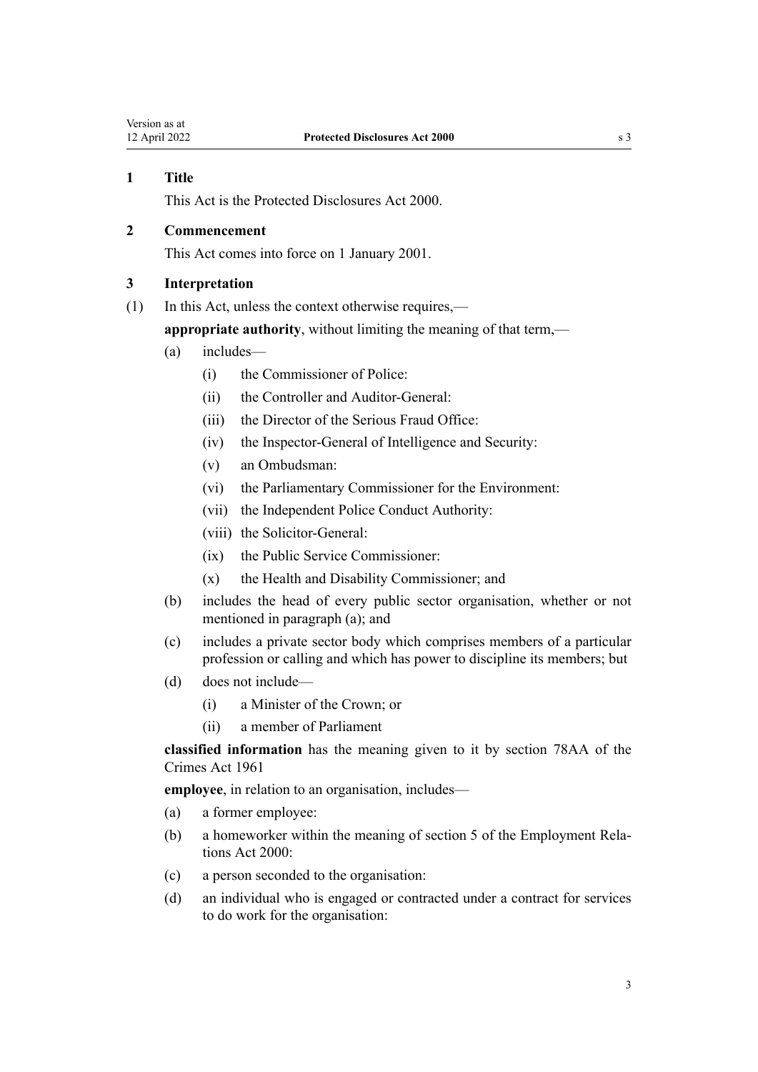# <span id="page-2-0"></span>**1 Title**

This Act is the Protected Disclosures Act 2000.

# **2 Commencement**

This Act comes into force on 1 January 2001.

## **3 Interpretation**

(1) In this Act, unless the context otherwise requires,—

**appropriate authority**, without limiting the meaning of that term,—

- (a) includes—
	- (i) the Commissioner of Police:
	- (ii) the Controller and Auditor-General:
	- (iii) the Director of the Serious Fraud Office:
	- (iv) the Inspector-General of Intelligence and Security:
	- (v) an Ombudsman:
	- (vi) the Parliamentary Commissioner for the Environment:
	- (vii) the Independent Police Conduct Authority:
	- (viii) the Solicitor-General:
	- (ix) the Public Service Commissioner:
	- (x) the Health and Disability Commissioner; and
- (b) includes the head of every public sector organisation, whether or not mentioned in paragraph (a); and
- (c) includes a private sector body which comprises members of a particular profession or calling and which has power to discipline its members; but
- (d) does not include—
	- (i) a Minister of the Crown; or
	- (ii) a member of Parliament

**classified information** has the meaning given to it by [section 78AA](http://legislation.govt.nz/pdflink.aspx?id=DLM7453603) of the Crimes Act 1961

**employee**, in relation to an organisation, includes—

- (a) a former employee:
- (b) a homeworker within the meaning of [section 5](http://legislation.govt.nz/pdflink.aspx?id=DLM58337) of the Employment Relations Act 2000:
- (c) a person seconded to the organisation:
- (d) an individual who is engaged or contracted under a contract for services to do work for the organisation: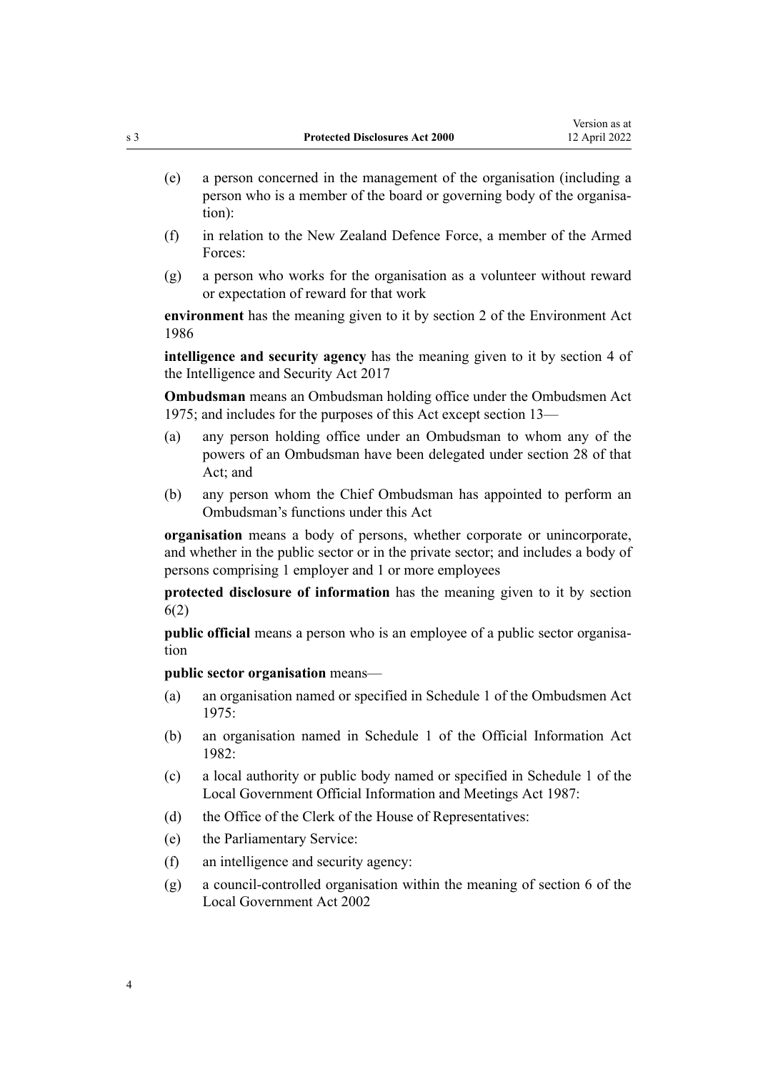- (e) a person concerned in the management of the organisation (including a person who is a member of the board or governing body of the organisation):
- (f) in relation to the New Zealand Defence Force, a member of the Armed Forces:
- (g) a person who works for the organisation as a volunteer without reward or expectation of reward for that work

**environment** has the meaning given to it by [section 2](http://legislation.govt.nz/pdflink.aspx?id=DLM98980) of the Environment Act 1986

**intelligence and security agency** has the meaning given to it by [section 4](http://legislation.govt.nz/pdflink.aspx?id=DLM6920830) of the Intelligence and Security Act 2017

**Ombudsman** means an Ombudsman holding office under the [Ombudsmen Act](http://legislation.govt.nz/pdflink.aspx?id=DLM430983) [1975](http://legislation.govt.nz/pdflink.aspx?id=DLM430983); and includes for the purposes of this Act except [section 13](#page-10-0)—

- (a) any person holding office under an Ombudsman to whom any of the powers of an Ombudsman have been delegated under [section 28](http://legislation.govt.nz/pdflink.aspx?id=DLM431185) of that Act; and
- (b) any person whom the Chief Ombudsman has appointed to perform an Ombudsman's functions under this Act

**organisation** means a body of persons, whether corporate or unincorporate, and whether in the public sector or in the private sector; and includes a body of persons comprising 1 employer and 1 or more employees

**protected disclosure of information** has the meaning given to it by [section](#page-5-0) [6\(2\)](#page-5-0)

**public official** means a person who is an employee of a public sector organisation

**public sector organisation** means—

- (a) an organisation named or specified in [Schedule 1](http://legislation.govt.nz/pdflink.aspx?id=DLM431204) of the Ombudsmen Act 1975:
- (b) an organisation named in [Schedule 1](http://legislation.govt.nz/pdflink.aspx?id=DLM65921) of the Official Information Act 1982:
- (c) a local authority or public body named or specified in [Schedule 1](http://legislation.govt.nz/pdflink.aspx?id=DLM123616) of the Local Government Official Information and Meetings Act 1987:
- (d) the Office of the Clerk of the House of Representatives:
- (e) the Parliamentary Service:
- (f) an intelligence and security agency:
- (g) a council-controlled organisation within the meaning of [section 6](http://legislation.govt.nz/pdflink.aspx?id=DLM171482) of the Local Government Act 2002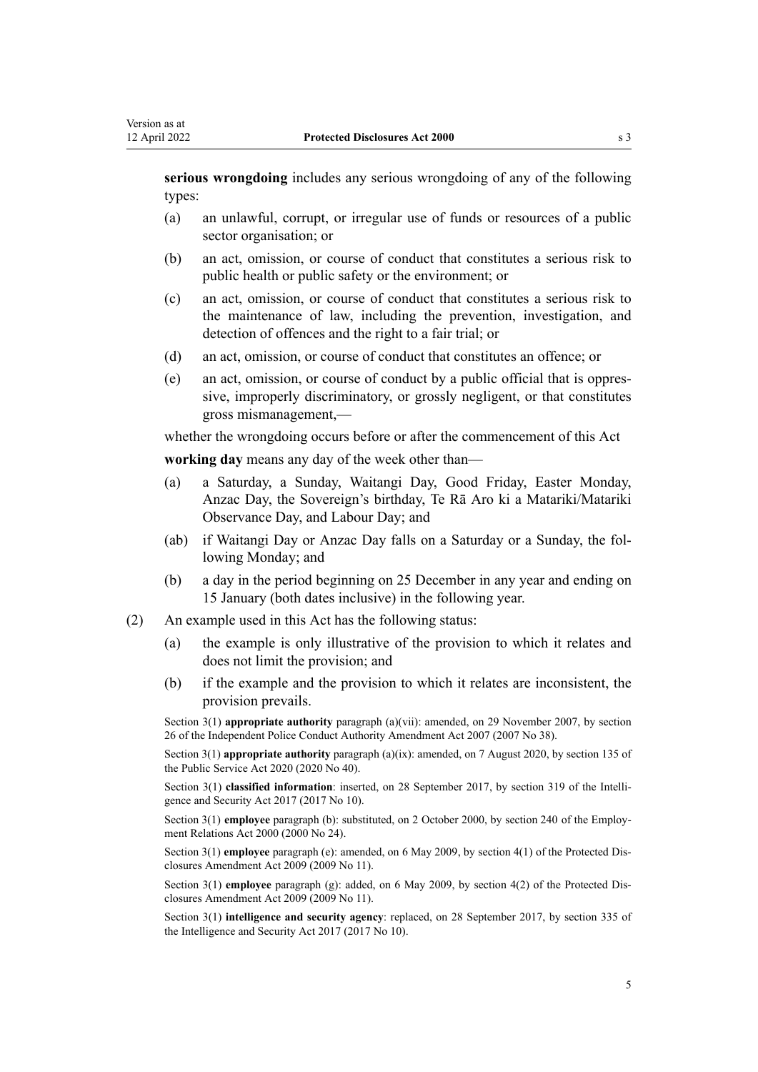**serious wrongdoing** includes any serious wrongdoing of any of the following types:

- (a) an unlawful, corrupt, or irregular use of funds or resources of a public sector organisation; or
- (b) an act, omission, or course of conduct that constitutes a serious risk to public health or public safety or the environment; or
- (c) an act, omission, or course of conduct that constitutes a serious risk to the maintenance of law, including the prevention, investigation, and detection of offences and the right to a fair trial; or
- (d) an act, omission, or course of conduct that constitutes an offence; or
- (e) an act, omission, or course of conduct by a public official that is oppres‐ sive, improperly discriminatory, or grossly negligent, or that constitutes gross mismanagement,—

whether the wrongdoing occurs before or after the commencement of this Act **working day** means any day of the week other than—

- (a) a Saturday, a Sunday, Waitangi Day, Good Friday, Easter Monday, Anzac Day, the Sovereign's birthday, Te Rā Aro ki a Matariki/Matariki Observance Day, and Labour Day; and
- (ab) if Waitangi Day or Anzac Day falls on a Saturday or a Sunday, the fol‐ lowing Monday; and
- (b) a day in the period beginning on 25 December in any year and ending on 15 January (both dates inclusive) in the following year.
- (2) An example used in this Act has the following status:
	- (a) the example is only illustrative of the provision to which it relates and does not limit the provision; and
	- (b) if the example and the provision to which it relates are inconsistent, the provision prevails.

Section 3(1) **appropriate authority** paragraph (a)(vii): amended, on 29 November 2007, by [section](http://legislation.govt.nz/pdflink.aspx?id=DLM967974) [26](http://legislation.govt.nz/pdflink.aspx?id=DLM967974) of the Independent Police Conduct Authority Amendment Act 2007 (2007 No 38).

Section 3(1) **appropriate authority** paragraph (a)(ix): amended, on 7 August 2020, by [section 135](http://legislation.govt.nz/pdflink.aspx?id=LMS176959) of the Public Service Act 2020 (2020 No 40).

Section 3(1) **classified information**: inserted, on 28 September 2017, by [section 319](http://legislation.govt.nz/pdflink.aspx?id=DLM6921451) of the Intelligence and Security Act 2017 (2017 No 10).

Section 3(1) **employee** paragraph (b): substituted, on 2 October 2000, by [section 240](http://legislation.govt.nz/pdflink.aspx?id=DLM61487) of the Employment Relations Act 2000 (2000 No 24).

Section 3(1) **employee** paragraph (e): amended, on 6 May 2009, by [section 4\(1\)](http://legislation.govt.nz/pdflink.aspx?id=DLM1179908) of the Protected Dis‐ closures Amendment Act 2009 (2009 No 11).

Section 3(1) **employee** paragraph (g): added, on 6 May 2009, by [section 4\(2\)](http://legislation.govt.nz/pdflink.aspx?id=DLM1179908) of the Protected Disclosures Amendment Act 2009 (2009 No 11).

Section 3(1) **intelligence and security agency**: replaced, on 28 September 2017, by [section 335](http://legislation.govt.nz/pdflink.aspx?id=DLM6921475) of the Intelligence and Security Act 2017 (2017 No 10).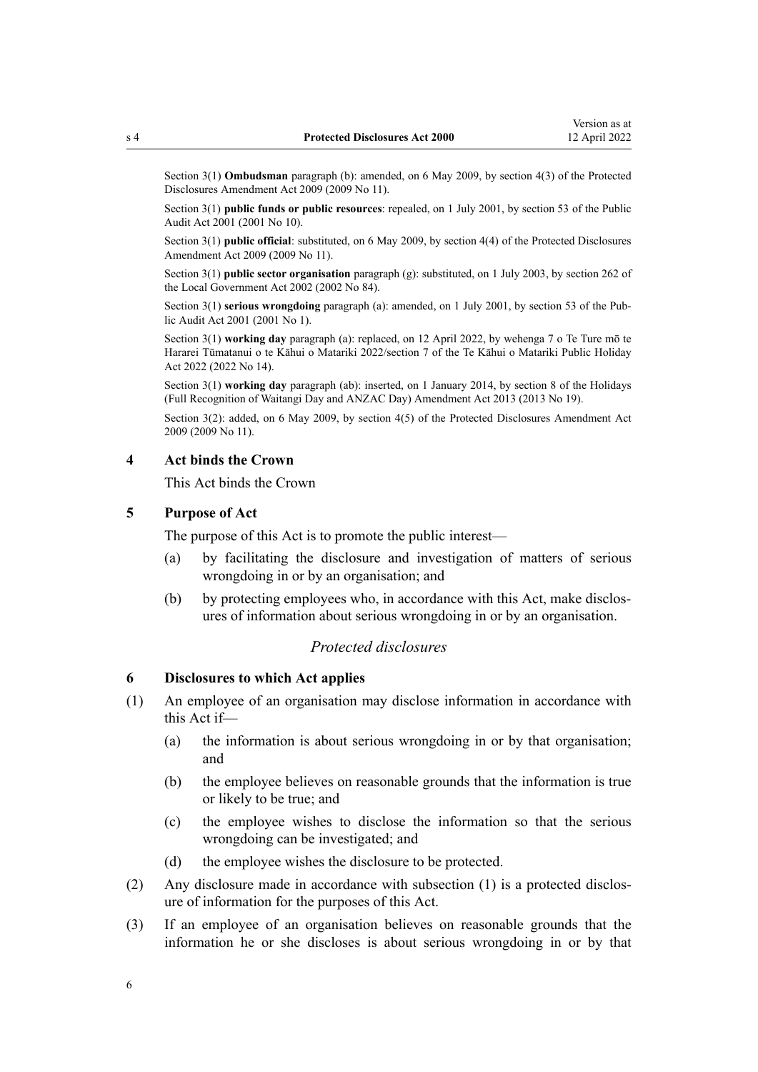<span id="page-5-0"></span>Section 3(1) **Ombudsman** paragraph (b): amended, on 6 May 2009, by [section 4\(3\)](http://legislation.govt.nz/pdflink.aspx?id=DLM1179908) of the Protected Disclosures Amendment Act 2009 (2009 No 11).

Section 3(1) **public funds or public resources**: repealed, on 1 July 2001, by [section 53](http://legislation.govt.nz/pdflink.aspx?id=DLM88957) of the Public Audit Act 2001 (2001 No 10).

Section 3(1) **public official**: substituted, on 6 May 2009, by [section 4\(4\)](http://legislation.govt.nz/pdflink.aspx?id=DLM1179908) of the Protected Disclosures Amendment Act 2009 (2009 No 11).

Section 3(1) **public sector organisation** paragraph (g): substituted, on 1 July 2003, by [section 262](http://legislation.govt.nz/pdflink.aspx?id=DLM174088) of the Local Government Act 2002 (2002 No 84).

Section 3(1) **serious wrongdoing** paragraph (a): amended, on 1 July 2001, by [section 53](http://legislation.govt.nz/pdflink.aspx?id=DLM88957) of the Public Audit Act 2001 (2001 No 1).

Section 3(1) **working day** paragraph (a): replaced, on 12 April 2022, by [wehenga 7](http://legislation.govt.nz/pdflink.aspx?id=LMS557838) o Te Ture mō te Hararei Tūmatanui o te Kāhui o Matariki 2022/[section 7](http://legislation.govt.nz/pdflink.aspx?id=LMS557848) of the Te Kāhui o Matariki Public Holiday Act 2022 (2022 No 14).

Section 3(1) **working day** paragraph (ab): inserted, on 1 January 2014, by [section 8](http://legislation.govt.nz/pdflink.aspx?id=DLM4929207) of the Holidays (Full Recognition of Waitangi Day and ANZAC Day) Amendment Act 2013 (2013 No 19).

Section 3(2): added, on 6 May 2009, by [section 4\(5\)](http://legislation.govt.nz/pdflink.aspx?id=DLM1179908) of the Protected Disclosures Amendment Act 2009 (2009 No 11).

#### **4 Act binds the Crown**

This Act binds the Crown

## **5 Purpose of Act**

The purpose of this Act is to promote the public interest—

- (a) by facilitating the disclosure and investigation of matters of serious wrongdoing in or by an organisation; and
- (b) by protecting employees who, in accordance with this Act, make disclosures of information about serious wrongdoing in or by an organisation.

## *Protected disclosures*

## **6 Disclosures to which Act applies**

- (1) An employee of an organisation may disclose information in accordance with this Act if—
	- (a) the information is about serious wrongdoing in or by that organisation; and
	- (b) the employee believes on reasonable grounds that the information is true or likely to be true; and
	- (c) the employee wishes to disclose the information so that the serious wrongdoing can be investigated; and
	- (d) the employee wishes the disclosure to be protected.
- (2) Any disclosure made in accordance with subsection (1) is a protected disclos‐ ure of information for the purposes of this Act.
- (3) If an employee of an organisation believes on reasonable grounds that the information he or she discloses is about serious wrongdoing in or by that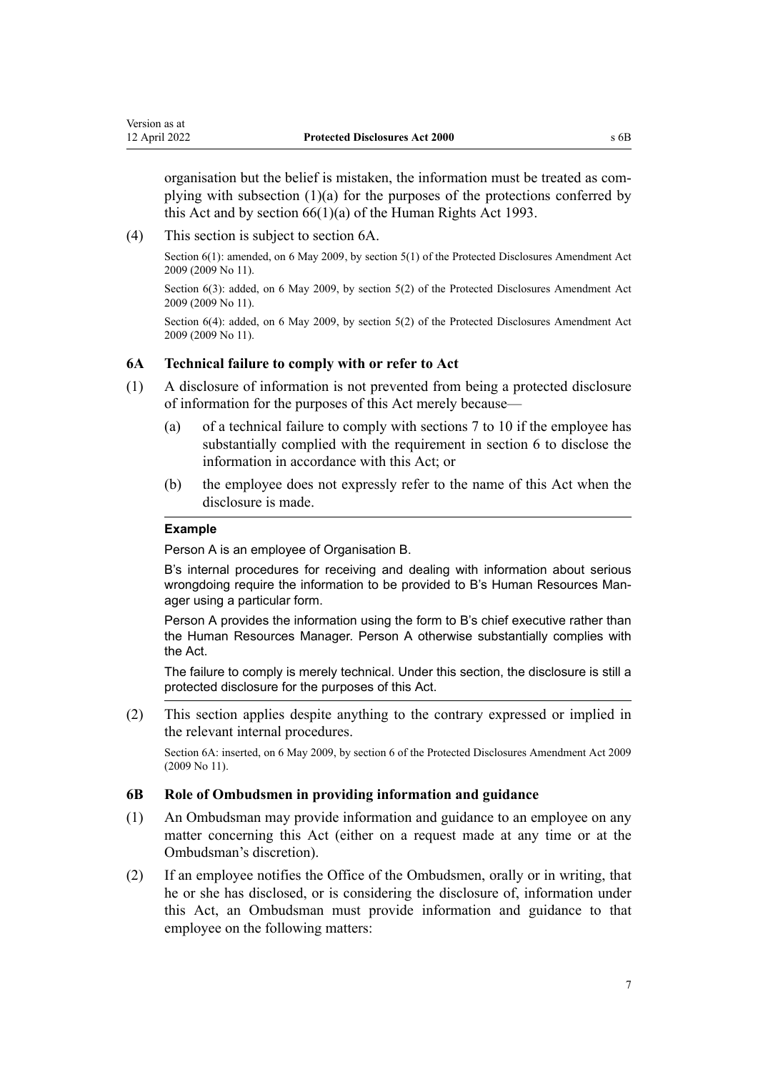<span id="page-6-0"></span>organisation but the belief is mistaken, the information must be treated as com‐ plying with subsection  $(1)(a)$  for the purposes of the protections conferred by this Act and by [section 66\(1\)\(a\)](http://legislation.govt.nz/pdflink.aspx?id=DLM304658) of the Human Rights Act 1993.

(4) This section is subject to section 6A.

Section 6(1): amended, on 6 May 2009, by [section 5\(1\)](http://legislation.govt.nz/pdflink.aspx?id=DLM1179915) of the Protected Disclosures Amendment Act 2009 (2009 No 11).

Section 6(3): added, on 6 May 2009, by [section 5\(2\)](http://legislation.govt.nz/pdflink.aspx?id=DLM1179915) of the Protected Disclosures Amendment Act 2009 (2009 No 11).

Section 6(4): added, on 6 May 2009, by [section 5\(2\)](http://legislation.govt.nz/pdflink.aspx?id=DLM1179915) of the Protected Disclosures Amendment Act 2009 (2009 No 11).

# **6A Technical failure to comply with or refer to Act**

- (1) A disclosure of information is not prevented from being a protected disclosure of information for the purposes of this Act merely because—
	- (a) of a technical failure to comply with [sections 7 to 10](#page-7-0) if the employee has substantially complied with the requirement in [section 6](#page-5-0) to disclose the information in accordance with this Act; or
	- (b) the employee does not expressly refer to the name of this Act when the disclosure is made.

## **Example**

Person A is an employee of Organisation B.

B's internal procedures for receiving and dealing with information about serious wrongdoing require the information to be provided to B's Human Resources Manager using a particular form.

Person A provides the information using the form to B's chief executive rather than the Human Resources Manager. Person A otherwise substantially complies with the Act.

The failure to comply is merely technical. Under this section, the disclosure is still a protected disclosure for the purposes of this Act.

(2) This section applies despite anything to the contrary expressed or implied in the relevant internal procedures.

Section 6A: inserted, on 6 May 2009, by [section 6](http://legislation.govt.nz/pdflink.aspx?id=DLM1179916) of the Protected Disclosures Amendment Act 2009 (2009 No 11).

## **6B Role of Ombudsmen in providing information and guidance**

- (1) An Ombudsman may provide information and guidance to an employee on any matter concerning this Act (either on a request made at any time or at the Ombudsman's discretion).
- (2) If an employee notifies the Office of the Ombudsmen, orally or in writing, that he or she has disclosed, or is considering the disclosure of, information under this Act, an Ombudsman must provide information and guidance to that employee on the following matters: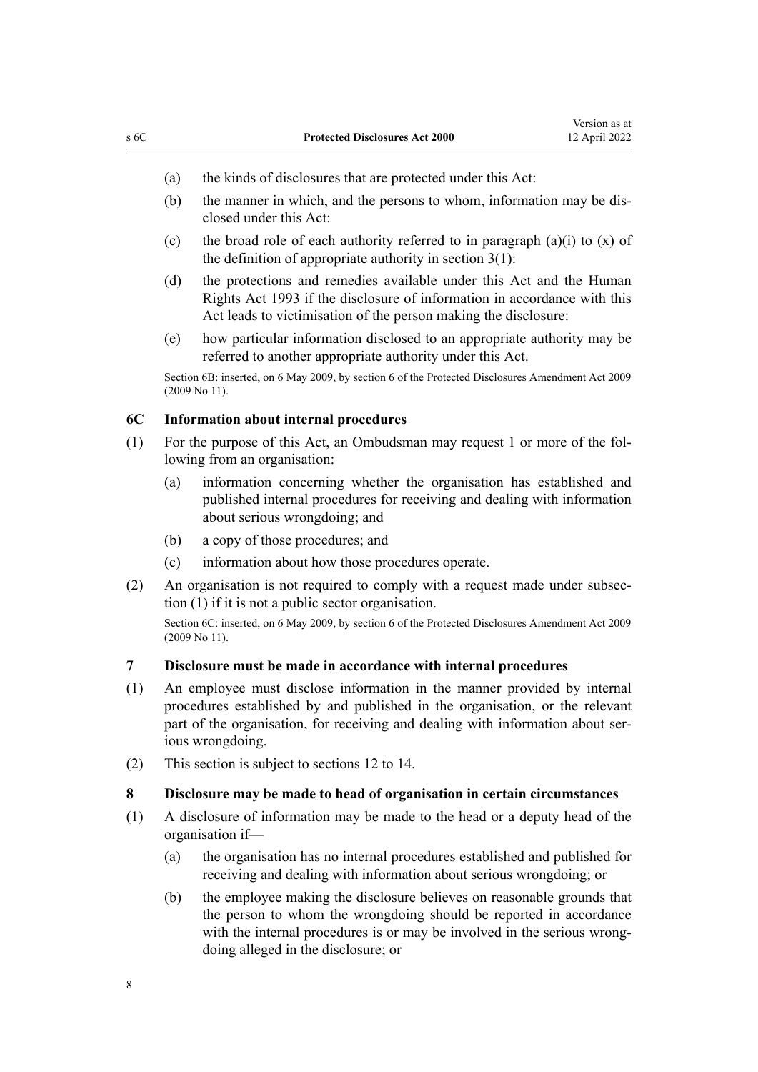- <span id="page-7-0"></span>(a) the kinds of disclosures that are protected under this Act:
- (b) the manner in which, and the persons to whom, information may be disclosed under this Act:
- (c) the broad role of each authority referred to in paragraph  $(a)(i)$  to  $(x)$  of the definition of appropriate authority in section  $3(1)$ :
- (d) the protections and remedies available under this Act and the [Human](http://legislation.govt.nz/pdflink.aspx?id=DLM304211) [Rights Act 1993](http://legislation.govt.nz/pdflink.aspx?id=DLM304211) if the disclosure of information in accordance with this Act leads to victimisation of the person making the disclosure:
- (e) how particular information disclosed to an appropriate authority may be referred to another appropriate authority under this Act.

Section 6B: inserted, on 6 May 2009, by [section 6](http://legislation.govt.nz/pdflink.aspx?id=DLM1179916) of the Protected Disclosures Amendment Act 2009 (2009 No 11).

# **6C Information about internal procedures**

- (1) For the purpose of this Act, an Ombudsman may request 1 or more of the fol‐ lowing from an organisation:
	- (a) information concerning whether the organisation has established and published internal procedures for receiving and dealing with information about serious wrongdoing; and
	- (b) a copy of those procedures; and
	- (c) information about how those procedures operate.
- (2) An organisation is not required to comply with a request made under subsec‐ tion (1) if it is not a public sector organisation.

Section 6C: inserted, on 6 May 2009, by [section 6](http://legislation.govt.nz/pdflink.aspx?id=DLM1179916) of the Protected Disclosures Amendment Act 2009 (2009 No 11).

#### **7 Disclosure must be made in accordance with internal procedures**

- (1) An employee must disclose information in the manner provided by internal procedures established by and published in the organisation, or the relevant part of the organisation, for receiving and dealing with information about serious wrongdoing.
- (2) This section is subject to [sections 12 to 14](#page-9-0).

## **8 Disclosure may be made to head of organisation in certain circumstances**

- (1) A disclosure of information may be made to the head or a deputy head of the organisation if—
	- (a) the organisation has no internal procedures established and published for receiving and dealing with information about serious wrongdoing; or
	- (b) the employee making the disclosure believes on reasonable grounds that the person to whom the wrongdoing should be reported in accordance with the internal procedures is or may be involved in the serious wrongdoing alleged in the disclosure; or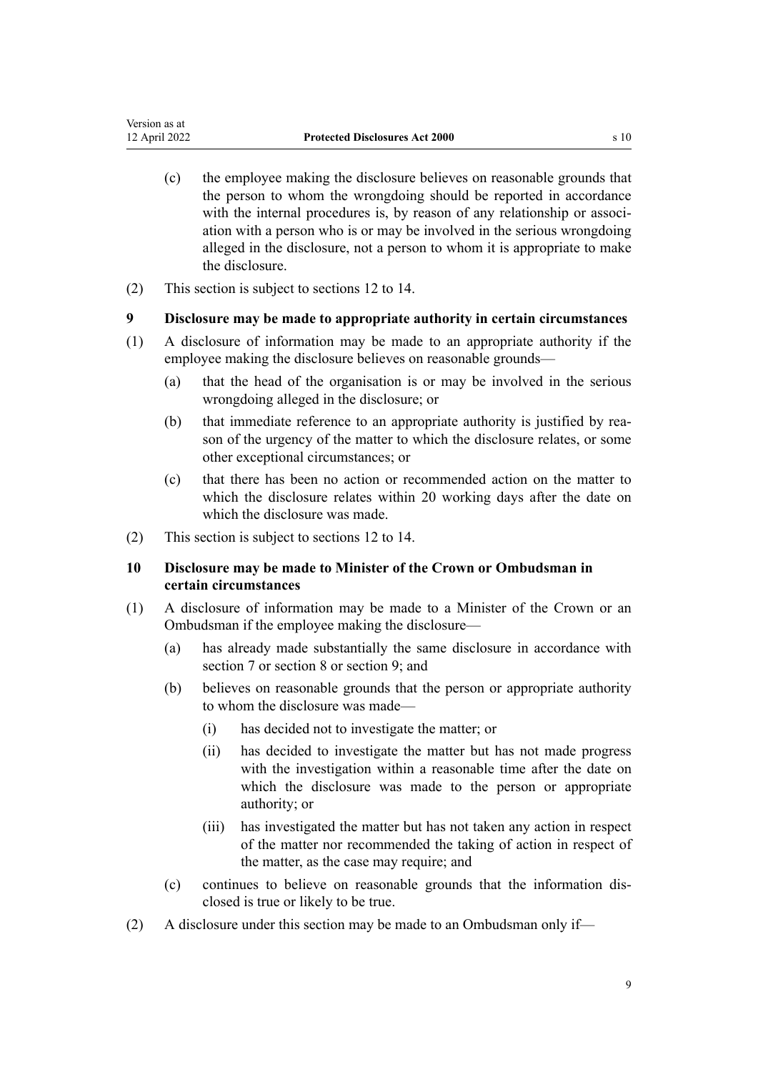- <span id="page-8-0"></span>(c) the employee making the disclosure believes on reasonable grounds that the person to whom the wrongdoing should be reported in accordance with the internal procedures is, by reason of any relationship or association with a person who is or may be involved in the serious wrongdoing alleged in the disclosure, not a person to whom it is appropriate to make the disclosure.
- (2) This section is subject to [sections 12 to 14](#page-9-0).

## **9 Disclosure may be made to appropriate authority in certain circumstances**

- (1) A disclosure of information may be made to an appropriate authority if the employee making the disclosure believes on reasonable grounds—
	- (a) that the head of the organisation is or may be involved in the serious wrongdoing alleged in the disclosure; or
	- (b) that immediate reference to an appropriate authority is justified by reason of the urgency of the matter to which the disclosure relates, or some other exceptional circumstances; or
	- (c) that there has been no action or recommended action on the matter to which the disclosure relates within 20 working days after the date on which the disclosure was made.
- (2) This section is subject to [sections 12 to 14](#page-9-0).

# **10 Disclosure may be made to Minister of the Crown or Ombudsman in certain circumstances**

- (1) A disclosure of information may be made to a Minister of the Crown or an Ombudsman if the employee making the disclosure—
	- (a) has already made substantially the same disclosure in accordance with [section 7](#page-7-0) or [section 8](#page-7-0) or section 9; and
	- (b) believes on reasonable grounds that the person or appropriate authority to whom the disclosure was made—
		- (i) has decided not to investigate the matter; or
		- (ii) has decided to investigate the matter but has not made progress with the investigation within a reasonable time after the date on which the disclosure was made to the person or appropriate authority; or
		- (iii) has investigated the matter but has not taken any action in respect of the matter nor recommended the taking of action in respect of the matter, as the case may require; and
	- (c) continues to believe on reasonable grounds that the information dis‐ closed is true or likely to be true.
- (2) A disclosure under this section may be made to an Ombudsman only if—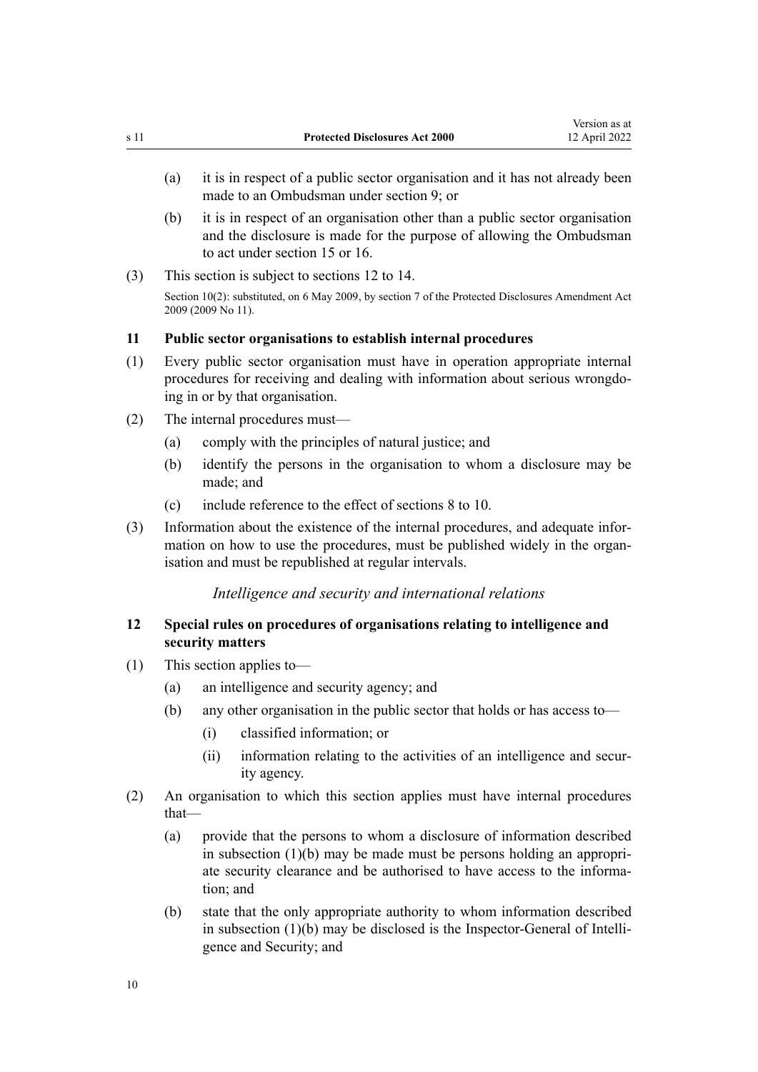- <span id="page-9-0"></span>(a) it is in respect of a public sector organisation and it has not already been made to an Ombudsman under [section 9](#page-8-0); or
- (b) it is in respect of an organisation other than a public sector organisation and the disclosure is made for the purpose of allowing the Ombudsman to act under [section 15](#page-11-0) or [16](#page-14-0).
- (3) This section is subject to sections 12 to 14.

Section 10(2): substituted, on 6 May 2009, by [section 7](http://legislation.govt.nz/pdflink.aspx?id=DLM1179920) of the Protected Disclosures Amendment Act 2009 (2009 No 11).

#### **11 Public sector organisations to establish internal procedures**

- (1) Every public sector organisation must have in operation appropriate internal procedures for receiving and dealing with information about serious wrongdo‐ ing in or by that organisation.
- (2) The internal procedures must—
	- (a) comply with the principles of natural justice; and
	- (b) identify the persons in the organisation to whom a disclosure may be made; and
	- (c) include reference to the effect of [sections 8 to 10](#page-7-0).
- (3) Information about the existence of the internal procedures, and adequate infor‐ mation on how to use the procedures, must be published widely in the organisation and must be republished at regular intervals.

# *Intelligence and security and international relations*

# **12 Special rules on procedures of organisations relating to intelligence and security matters**

- (1) This section applies to—
	- (a) an intelligence and security agency; and
	- (b) any other organisation in the public sector that holds or has access to—
		- (i) classified information; or
		- (ii) information relating to the activities of an intelligence and security agency.
- (2) An organisation to which this section applies must have internal procedures that—
	- (a) provide that the persons to whom a disclosure of information described in subsection  $(1)(b)$  may be made must be persons holding an appropriate security clearance and be authorised to have access to the informa‐ tion; and
	- (b) state that the only appropriate authority to whom information described in subsection (1)(b) may be disclosed is the Inspector-General of Intelli‐ gence and Security; and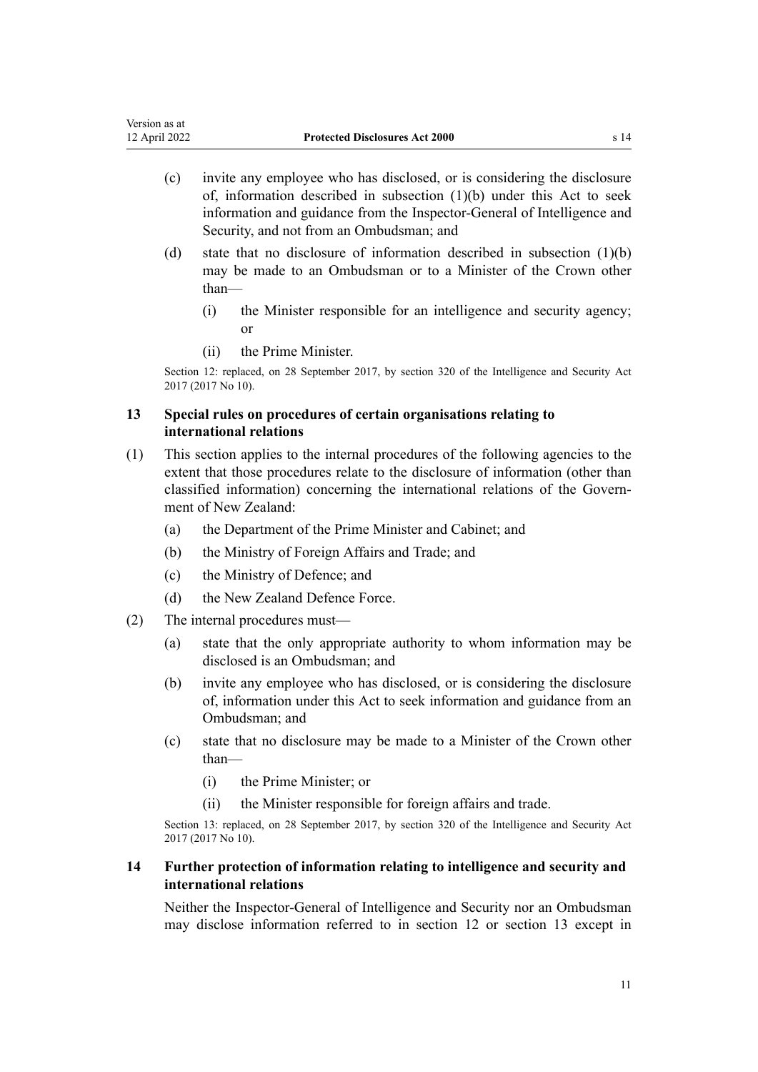- <span id="page-10-0"></span>(c) invite any employee who has disclosed, or is considering the disclosure of, information described in subsection (1)(b) under this Act to seek information and guidance from the Inspector-General of Intelligence and Security, and not from an Ombudsman; and
- (d) state that no disclosure of information described in subsection (1)(b) may be made to an Ombudsman or to a Minister of the Crown other than—
	- (i) the Minister responsible for an intelligence and security agency; or
	- (ii) the Prime Minister.

Section 12: replaced, on 28 September 2017, by [section 320](http://legislation.govt.nz/pdflink.aspx?id=DLM6921454) of the Intelligence and Security Act 2017 (2017 No 10).

# **13 Special rules on procedures of certain organisations relating to international relations**

- (1) This section applies to the internal procedures of the following agencies to the extent that those procedures relate to the disclosure of information (other than classified information) concerning the international relations of the Govern‐ ment of New Zealand:
	- (a) the Department of the Prime Minister and Cabinet; and
	- (b) the Ministry of Foreign Affairs and Trade; and
	- (c) the Ministry of Defence; and
	- (d) the New Zealand Defence Force.
- (2) The internal procedures must—
	- (a) state that the only appropriate authority to whom information may be disclosed is an Ombudsman; and
	- (b) invite any employee who has disclosed, or is considering the disclosure of, information under this Act to seek information and guidance from an Ombudsman; and
	- (c) state that no disclosure may be made to a Minister of the Crown other than—
		- (i) the Prime Minister; or
		- (ii) the Minister responsible for foreign affairs and trade.

Section 13: replaced, on 28 September 2017, by [section 320](http://legislation.govt.nz/pdflink.aspx?id=DLM6921454) of the Intelligence and Security Act 2017 (2017 No 10).

# **14 Further protection of information relating to intelligence and security and international relations**

Neither the Inspector-General of Intelligence and Security nor an Ombudsman may disclose information referred to in [section 12](#page-9-0) or section 13 except in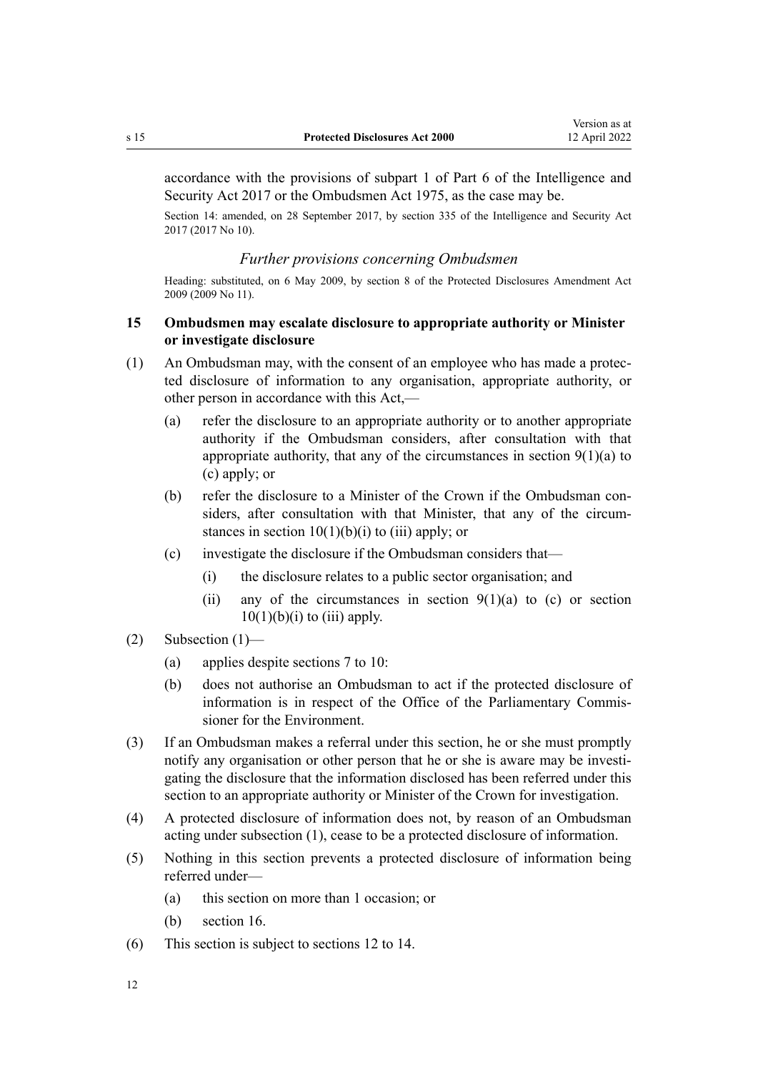<span id="page-11-0"></span>accordance with the provisions of [subpart 1](http://legislation.govt.nz/pdflink.aspx?id=DLM6921168) of Part 6 of the Intelligence and Security Act 2017 or the [Ombudsmen Act 1975](http://legislation.govt.nz/pdflink.aspx?id=DLM430983), as the case may be.

Section 14: amended, on 28 September 2017, by [section 335](http://legislation.govt.nz/pdflink.aspx?id=DLM6921475) of the Intelligence and Security Act 2017 (2017 No 10).

## *Further provisions concerning Ombudsmen*

Heading: substituted, on 6 May 2009, by [section 8](http://legislation.govt.nz/pdflink.aspx?id=DLM1179921) of the Protected Disclosures Amendment Act 2009 (2009 No 11).

# **15 Ombudsmen may escalate disclosure to appropriate authority or Minister or investigate disclosure**

- (1) An Ombudsman may, with the consent of an employee who has made a protec‐ ted disclosure of information to any organisation, appropriate authority, or other person in accordance with this Act,—
	- (a) refer the disclosure to an appropriate authority or to another appropriate authority if the Ombudsman considers, after consultation with that appropriate authority, that any of the circumstances in section  $9(1)(a)$  to [\(c\)](#page-8-0) apply; or
	- (b) refer the disclosure to a Minister of the Crown if the Ombudsman con‐ siders, after consultation with that Minister, that any of the circum‐ stances in section  $10(1)(b)(i)$  to (iii) apply; or
	- (c) investigate the disclosure if the Ombudsman considers that—
		- (i) the disclosure relates to a public sector organisation; and
		- (ii) any of the circumstances in [section](#page-8-0)  $9(1)(a)$  to (c) or section  $10(1)(b)(i)$  to (iii) apply.
- (2) Subsection (1)—
	- (a) applies despite [sections 7 to 10:](#page-7-0)
	- (b) does not authorise an Ombudsman to act if the protected disclosure of information is in respect of the Office of the Parliamentary Commis‐ sioner for the Environment.
- (3) If an Ombudsman makes a referral under this section, he or she must promptly notify any organisation or other person that he or she is aware may be investi‐ gating the disclosure that the information disclosed has been referred under this section to an appropriate authority or Minister of the Crown for investigation.
- (4) A protected disclosure of information does not, by reason of an Ombudsman acting under subsection (1), cease to be a protected disclosure of information.
- (5) Nothing in this section prevents a protected disclosure of information being referred under—
	- (a) this section on more than 1 occasion; or
	- (b) [section 16](#page-14-0).
- (6) This section is subject to [sections 12 to 14](#page-9-0).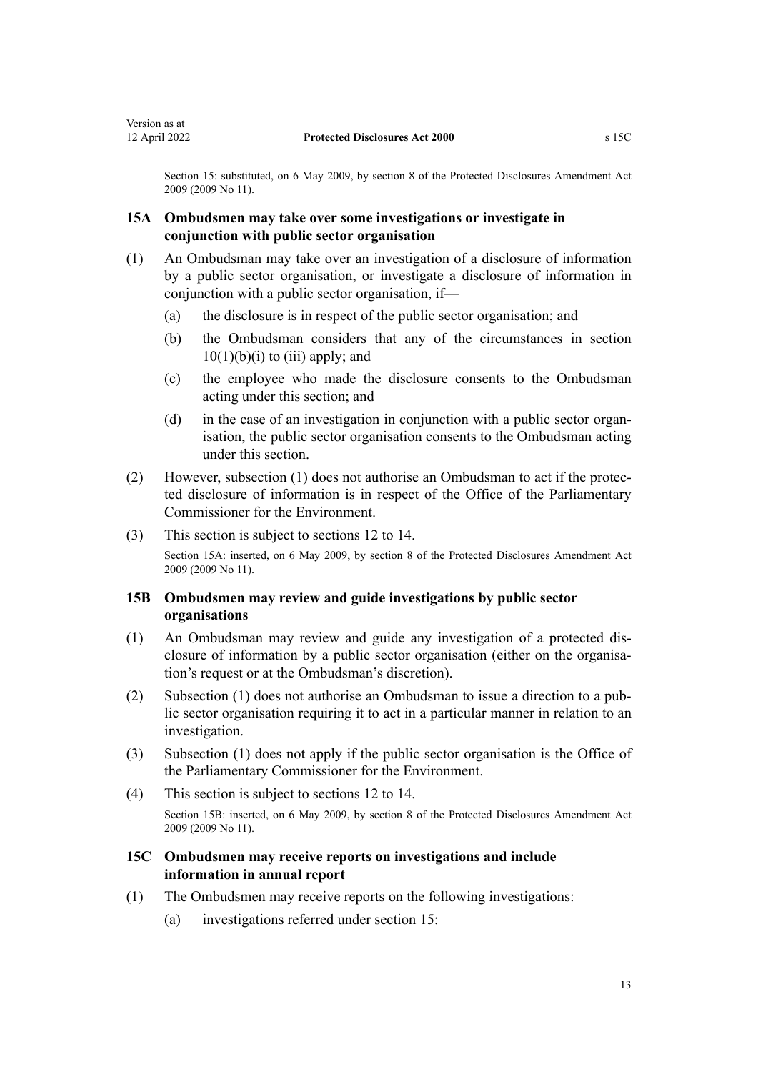<span id="page-12-0"></span>Section 15: substituted, on 6 May 2009, by [section 8](http://legislation.govt.nz/pdflink.aspx?id=DLM1179921) of the Protected Disclosures Amendment Act 2009 (2009 No 11).

# **15A Ombudsmen may take over some investigations or investigate in conjunction with public sector organisation**

- (1) An Ombudsman may take over an investigation of a disclosure of information by a public sector organisation, or investigate a disclosure of information in conjunction with a public sector organisation, if—
	- (a) the disclosure is in respect of the public sector organisation; and
	- (b) the Ombudsman considers that any of the circumstances in [section](#page-8-0)  $10(1)(b)(i)$  to (iii) apply; and
	- (c) the employee who made the disclosure consents to the Ombudsman acting under this section; and
	- (d) in the case of an investigation in conjunction with a public sector organisation, the public sector organisation consents to the Ombudsman acting under this section.
- (2) However, subsection (1) does not authorise an Ombudsman to act if the protec‐ ted disclosure of information is in respect of the Office of the Parliamentary Commissioner for the Environment.
- (3) This section is subject to [sections 12 to 14](#page-9-0).

Section 15A: inserted, on 6 May 2009, by [section 8](http://legislation.govt.nz/pdflink.aspx?id=DLM1179921) of the Protected Disclosures Amendment Act 2009 (2009 No 11).

# **15B Ombudsmen may review and guide investigations by public sector organisations**

- (1) An Ombudsman may review and guide any investigation of a protected dis‐ closure of information by a public sector organisation (either on the organisation's request or at the Ombudsman's discretion).
- (2) Subsection (1) does not authorise an Ombudsman to issue a direction to a pub‐ lic sector organisation requiring it to act in a particular manner in relation to an investigation.
- (3) Subsection (1) does not apply if the public sector organisation is the Office of the Parliamentary Commissioner for the Environment.
- (4) This section is subject to [sections 12 to 14](#page-9-0). Section 15B: inserted, on 6 May 2009, by [section 8](http://legislation.govt.nz/pdflink.aspx?id=DLM1179921) of the Protected Disclosures Amendment Act 2009 (2009 No 11).

# **15C Ombudsmen may receive reports on investigations and include information in annual report**

- (1) The Ombudsmen may receive reports on the following investigations:
	- (a) investigations referred under [section 15](#page-11-0):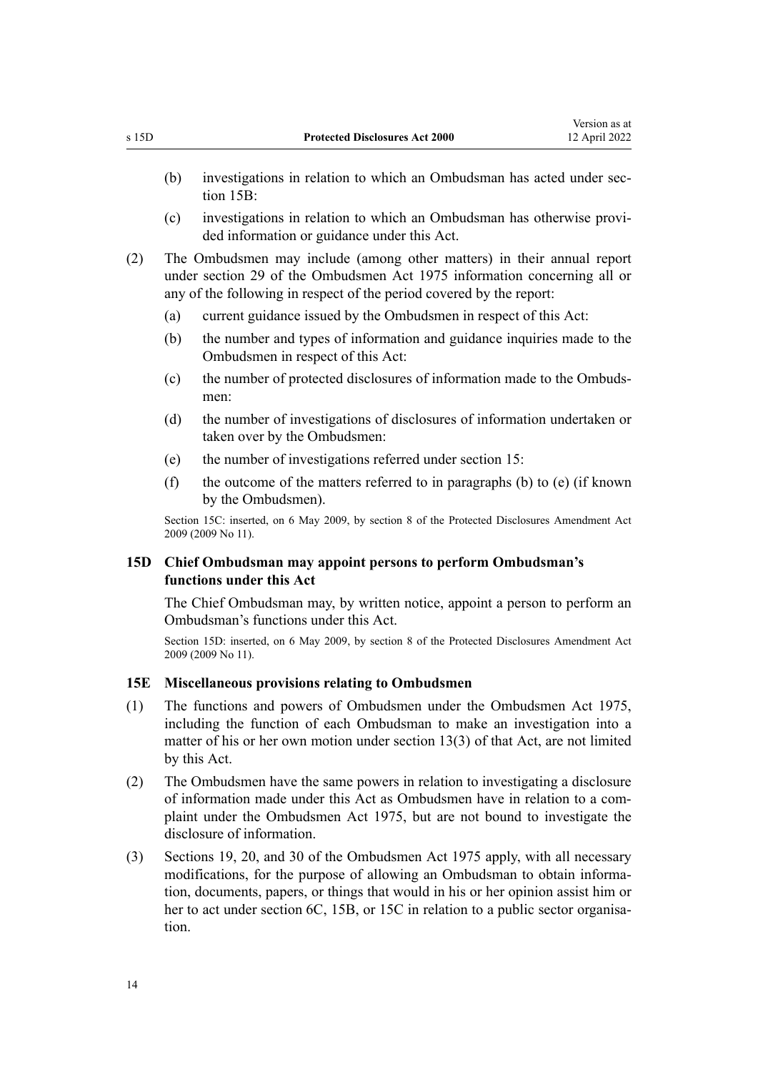- <span id="page-13-0"></span>(b) investigations in relation to which an Ombudsman has acted under [sec‐](#page-12-0) [tion 15B](#page-12-0):
- (c) investigations in relation to which an Ombudsman has otherwise provi‐ ded information or guidance under this Act.
- (2) The Ombudsmen may include (among other matters) in their annual report under [section 29](http://legislation.govt.nz/pdflink.aspx?id=DLM431189) of the Ombudsmen Act 1975 information concerning all or any of the following in respect of the period covered by the report:
	- (a) current guidance issued by the Ombudsmen in respect of this Act:
	- (b) the number and types of information and guidance inquiries made to the Ombudsmen in respect of this Act:
	- (c) the number of protected disclosures of information made to the Ombuds‐ men:
	- (d) the number of investigations of disclosures of information undertaken or taken over by the Ombudsmen:
	- (e) the number of investigations referred under [section 15:](#page-11-0)
	- (f) the outcome of the matters referred to in paragraphs (b) to (e) (if known by the Ombudsmen).

Section 15C: inserted, on 6 May 2009, by [section 8](http://legislation.govt.nz/pdflink.aspx?id=DLM1179921) of the Protected Disclosures Amendment Act 2009 (2009 No 11).

# **15D Chief Ombudsman may appoint persons to perform Ombudsman's functions under this Act**

The Chief Ombudsman may, by written notice, appoint a person to perform an Ombudsman's functions under this Act.

Section 15D: inserted, on 6 May 2009, by [section 8](http://legislation.govt.nz/pdflink.aspx?id=DLM1179921) of the Protected Disclosures Amendment Act 2009 (2009 No 11).

## **15E Miscellaneous provisions relating to Ombudsmen**

- (1) The functions and powers of Ombudsmen under the [Ombudsmen Act 1975](http://legislation.govt.nz/pdflink.aspx?id=DLM430983), including the function of each Ombudsman to make an investigation into a matter of his or her own motion under [section 13\(3\)](http://legislation.govt.nz/pdflink.aspx?id=DLM431123) of that Act, are not limited by this Act.
- (2) The Ombudsmen have the same powers in relation to investigating a disclosure of information made under this Act as Ombudsmen have in relation to a com‐ plaint under the [Ombudsmen Act 1975,](http://legislation.govt.nz/pdflink.aspx?id=DLM430983) but are not bound to investigate the disclosure of information.
- (3) [Sections 19](http://legislation.govt.nz/pdflink.aspx?id=DLM431148), [20,](http://legislation.govt.nz/pdflink.aspx?id=DLM431156) and [30](http://legislation.govt.nz/pdflink.aspx?id=DLM431194) of the Ombudsmen Act 1975 apply, with all necessary modifications, for the purpose of allowing an Ombudsman to obtain information, documents, papers, or things that would in his or her opinion assist him or her to act under [section 6C](#page-7-0), [15B](#page-12-0), or [15C](#page-12-0) in relation to a public sector organisation.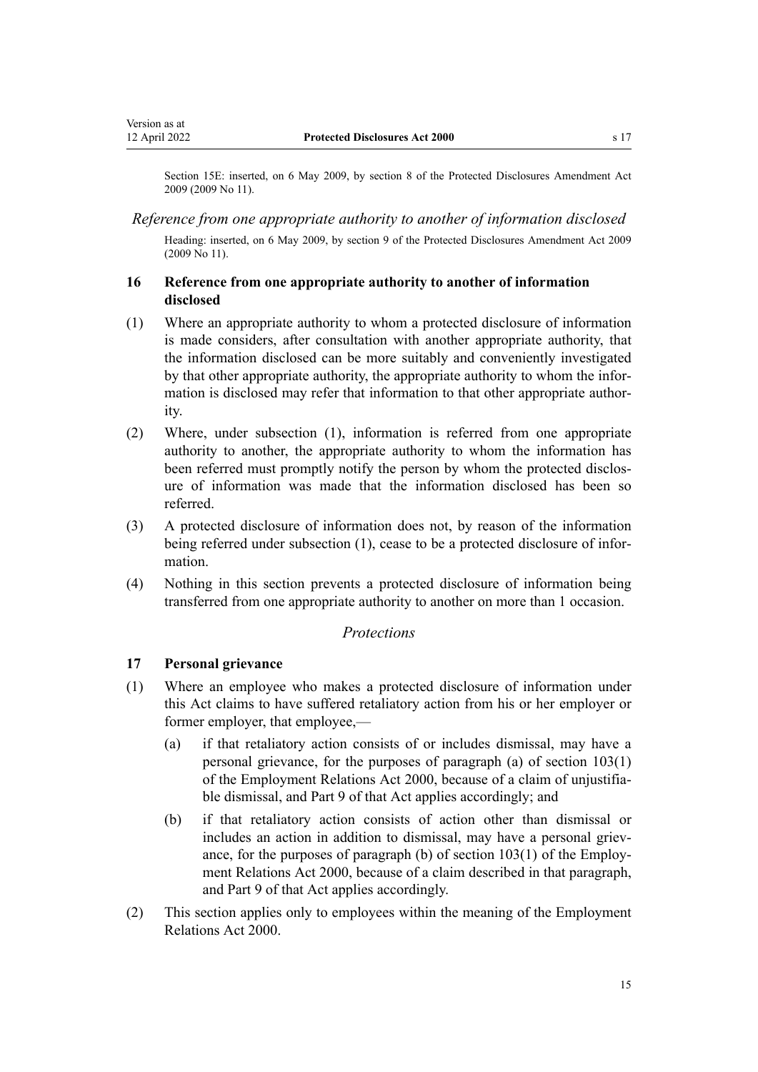<span id="page-14-0"></span>Section 15E: inserted, on 6 May 2009, by [section 8](http://legislation.govt.nz/pdflink.aspx?id=DLM1179921) of the Protected Disclosures Amendment Act 2009 (2009 No 11).

## *Reference from one appropriate authority to another of information disclosed*

Heading: inserted, on 6 May 2009, by [section 9](http://legislation.govt.nz/pdflink.aspx?id=DLM1179929) of the Protected Disclosures Amendment Act 2009 (2009 No 11).

# **16 Reference from one appropriate authority to another of information disclosed**

- (1) Where an appropriate authority to whom a protected disclosure of information is made considers, after consultation with another appropriate authority, that the information disclosed can be more suitably and conveniently investigated by that other appropriate authority, the appropriate authority to whom the infor‐ mation is disclosed may refer that information to that other appropriate authority.
- (2) Where, under subsection (1), information is referred from one appropriate authority to another, the appropriate authority to whom the information has been referred must promptly notify the person by whom the protected disclosure of information was made that the information disclosed has been so referred.
- (3) A protected disclosure of information does not, by reason of the information being referred under subsection (1), cease to be a protected disclosure of information.
- (4) Nothing in this section prevents a protected disclosure of information being transferred from one appropriate authority to another on more than 1 occasion.

# *Protections*

# **17 Personal grievance**

- (1) Where an employee who makes a protected disclosure of information under this Act claims to have suffered retaliatory action from his or her employer or former employer, that employee,—
	- (a) if that retaliatory action consists of or includes dismissal, may have a personal grievance, for the purposes of paragraph (a) of [section 103\(1\)](http://legislation.govt.nz/pdflink.aspx?id=DLM60322) of the Employment Relations Act 2000, because of a claim of unjustifia‐ ble dismissal, and [Part 9](http://legislation.govt.nz/pdflink.aspx?id=DLM60316) of that Act applies accordingly; and
	- (b) if that retaliatory action consists of action other than dismissal or includes an action in addition to dismissal, may have a personal grievance, for the purposes of paragraph (b) of [section 103\(1\)](http://legislation.govt.nz/pdflink.aspx?id=DLM60322) of the Employment Relations Act 2000, because of a claim described in that paragraph, and [Part 9](http://legislation.govt.nz/pdflink.aspx?id=DLM60316) of that Act applies accordingly.
- (2) This section applies only to employees within the meaning of the [Employment](http://legislation.govt.nz/pdflink.aspx?id=DLM58316) [Relations Act 2000](http://legislation.govt.nz/pdflink.aspx?id=DLM58316).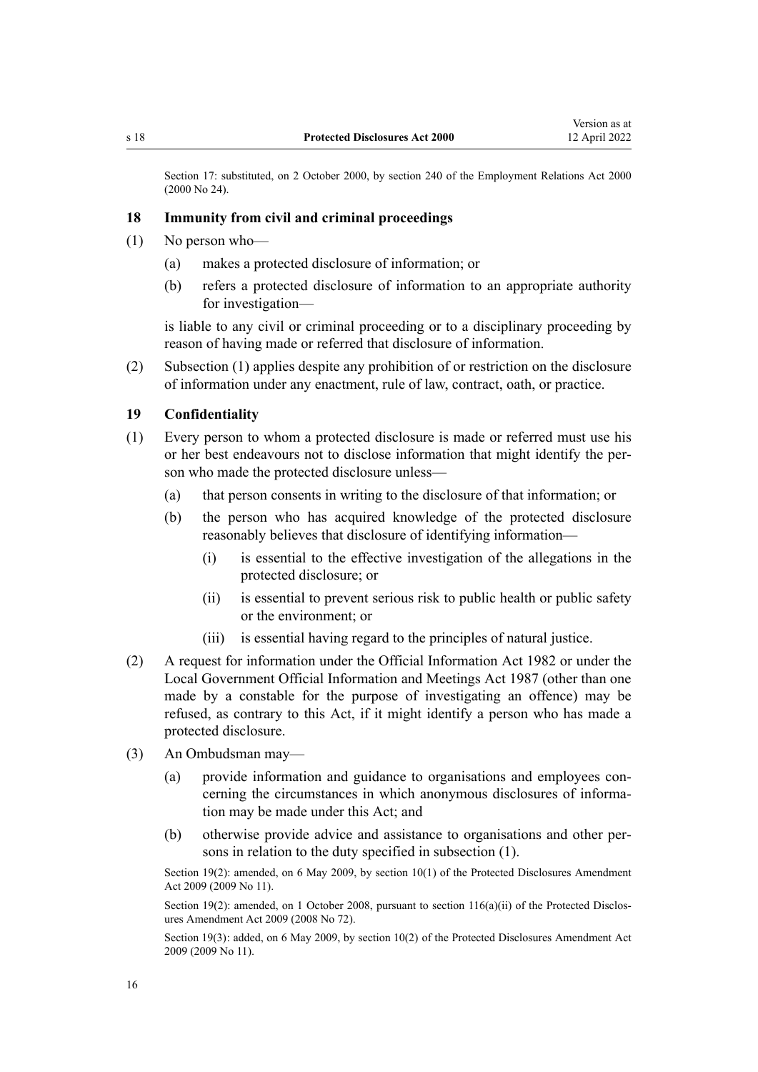<span id="page-15-0"></span>Section 17: substituted, on 2 October 2000, by [section 240](http://legislation.govt.nz/pdflink.aspx?id=DLM61487) of the Employment Relations Act 2000 (2000 No 24).

## **18 Immunity from civil and criminal proceedings**

- (1) No person who—
	- (a) makes a protected disclosure of information; or
	- (b) refers a protected disclosure of information to an appropriate authority for investigation—

is liable to any civil or criminal proceeding or to a disciplinary proceeding by reason of having made or referred that disclosure of information.

(2) Subsection (1) applies despite any prohibition of or restriction on the disclosure of information under any enactment, rule of law, contract, oath, or practice.

# **19 Confidentiality**

- (1) Every person to whom a protected disclosure is made or referred must use his or her best endeavours not to disclose information that might identify the per‐ son who made the protected disclosure unless—
	- (a) that person consents in writing to the disclosure of that information; or
	- (b) the person who has acquired knowledge of the protected disclosure reasonably believes that disclosure of identifying information—
		- (i) is essential to the effective investigation of the allegations in the protected disclosure; or
		- (ii) is essential to prevent serious risk to public health or public safety or the environment; or
		- (iii) is essential having regard to the principles of natural justice.
- (2) A request for information under the [Official Information Act 1982](http://legislation.govt.nz/pdflink.aspx?id=DLM64784) or under the [Local Government Official Information and Meetings Act 1987](http://legislation.govt.nz/pdflink.aspx?id=DLM122241) (other than one made by a constable for the purpose of investigating an offence) may be refused, as contrary to this Act, if it might identify a person who has made a protected disclosure.
- (3) An Ombudsman may—
	- (a) provide information and guidance to organisations and employees concerning the circumstances in which anonymous disclosures of information may be made under this Act; and
	- (b) otherwise provide advice and assistance to organisations and other per‐ sons in relation to the duty specified in subsection (1).

Section 19(2): amended, on 6 May 2009, by [section 10\(1\)](http://legislation.govt.nz/pdflink.aspx?id=DLM1179931) of the Protected Disclosures Amendment Act 2009 (2009 No 11).

Section 19(2): amended, on 1 October 2008, pursuant to section  $116(a)(ii)$  of the Protected Disclosures Amendment Act 2009 (2008 No 72).

Section 19(3): added, on 6 May 2009, by [section 10\(2\)](http://legislation.govt.nz/pdflink.aspx?id=DLM1179931) of the Protected Disclosures Amendment Act 2009 (2009 No 11).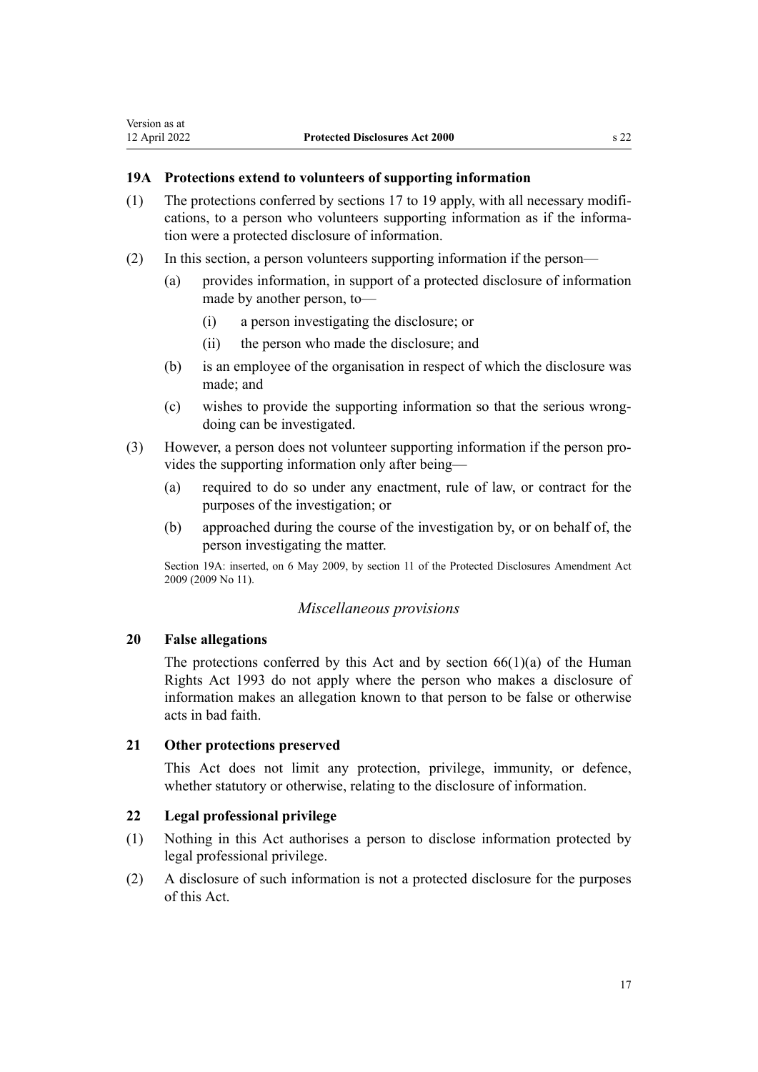# <span id="page-16-0"></span>**19A Protections extend to volunteers of supporting information**

- (1) The protections conferred by [sections 17 to 19](#page-14-0) apply, with all necessary modifications, to a person who volunteers supporting information as if the information were a protected disclosure of information.
- (2) In this section, a person volunteers supporting information if the person—
	- (a) provides information, in support of a protected disclosure of information made by another person, to—
		- (i) a person investigating the disclosure; or
		- (ii) the person who made the disclosure; and
	- (b) is an employee of the organisation in respect of which the disclosure was made; and
	- (c) wishes to provide the supporting information so that the serious wrong‐ doing can be investigated.
- (3) However, a person does not volunteer supporting information if the person pro‐ vides the supporting information only after being—
	- (a) required to do so under any enactment, rule of law, or contract for the purposes of the investigation; or
	- (b) approached during the course of the investigation by, or on behalf of, the person investigating the matter.

Section 19A: inserted, on 6 May 2009, by [section 11](http://legislation.govt.nz/pdflink.aspx?id=DLM1179932) of the Protected Disclosures Amendment Act 2009 (2009 No 11).

# *Miscellaneous provisions*

## **20 False allegations**

The protections conferred by this Act and by section  $66(1)(a)$  of the Human Rights Act 1993 do not apply where the person who makes a disclosure of information makes an allegation known to that person to be false or otherwise acts in bad faith.

# **21 Other protections preserved**

This Act does not limit any protection, privilege, immunity, or defence, whether statutory or otherwise, relating to the disclosure of information.

# **22 Legal professional privilege**

- (1) Nothing in this Act authorises a person to disclose information protected by legal professional privilege.
- (2) A disclosure of such information is not a protected disclosure for the purposes of this Act.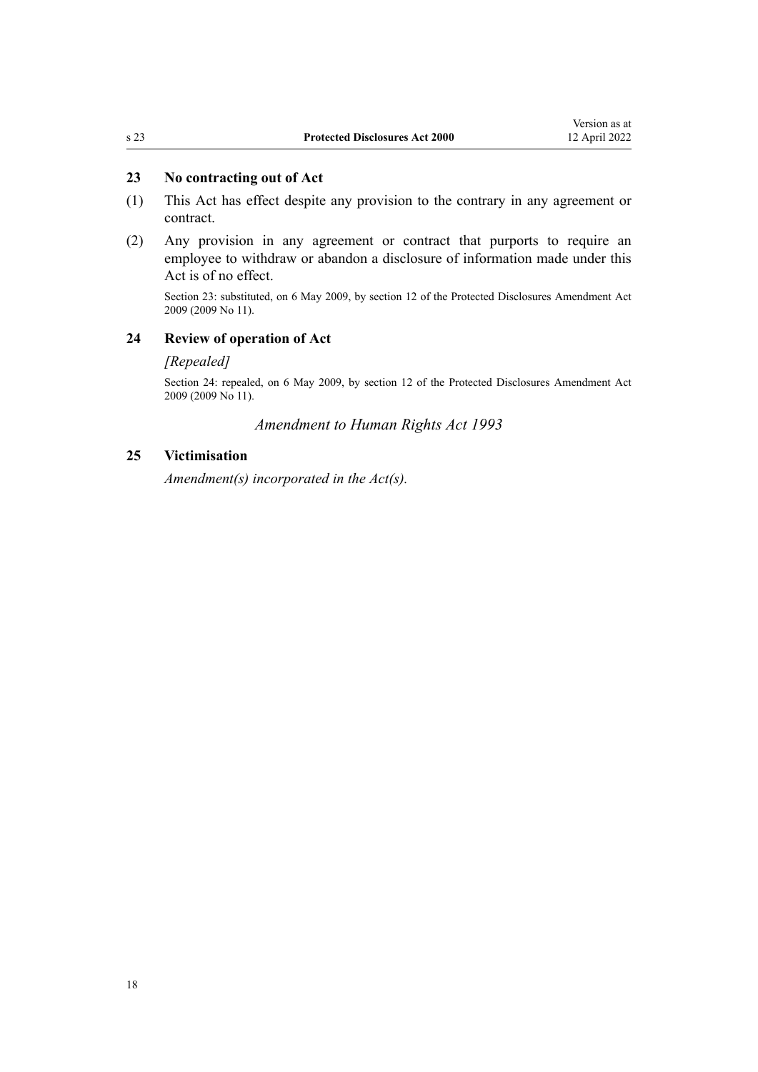# <span id="page-17-0"></span>**23 No contracting out of Act**

- (1) This Act has effect despite any provision to the contrary in any agreement or contract.
- (2) Any provision in any agreement or contract that purports to require an employee to withdraw or abandon a disclosure of information made under this Act is of no effect.

Section 23: substituted, on 6 May 2009, by [section 12](http://legislation.govt.nz/pdflink.aspx?id=DLM1179934) of the Protected Disclosures Amendment Act 2009 (2009 No 11).

## **24 Review of operation of Act**

# *[Repealed]*

Section 24: repealed, on 6 May 2009, by [section 12](http://legislation.govt.nz/pdflink.aspx?id=DLM1179934) of the Protected Disclosures Amendment Act 2009 (2009 No 11).

# *Amendment to Human Rights Act 1993*

# **25 Victimisation**

*Amendment(s) incorporated in the [Act\(s\).](http://legislation.govt.nz/pdflink.aspx?id=DLM304658)*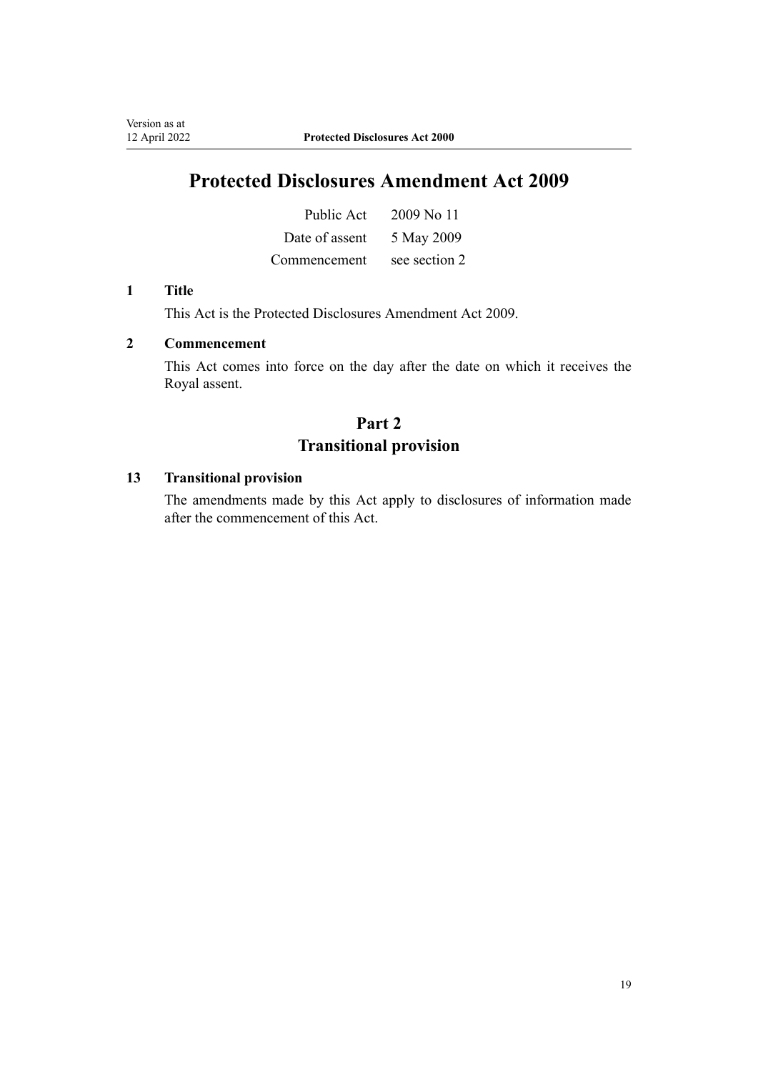# **Protected Disclosures Amendment Act 2009**

| Public Act     | 2009 No 11    |
|----------------|---------------|
| Date of assent | 5 May 2009    |
| Commencement.  | see section 2 |

#### **1 Title**

Version as at<br>12 April 2022

This Act is the [Protected Disclosures Amendment Act 2009.](http://legislation.govt.nz/pdflink.aspx?id=DLM1179900)

# **2 Commencement**

This Act comes into force on the day after the date on which it receives the Royal assent.

# **Part 2 Transitional provision**

# **13 Transitional provision**

The amendments made by this Act apply to disclosures of information made after the commencement of this Act.